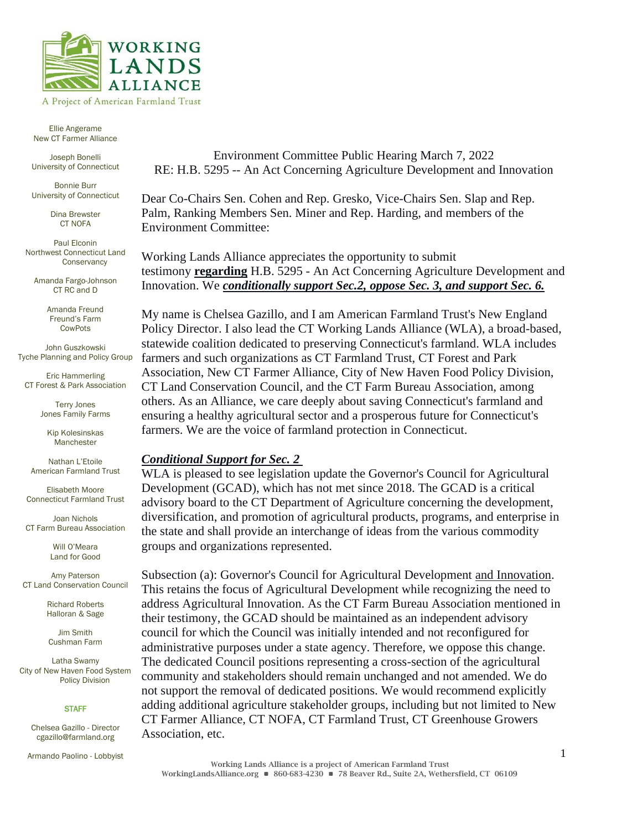

Ellie Angerame New CT Farmer Alliance

STEERING COMMITTEE

Joseph Bonelli University of Connecticut

Bonnie Burr University of Connecticut

> Dina Brewster CT NOFA

Paul Elconin Northwest Connecticut Land **Conservancy** 

Amanda Fargo-Johnson CT RC and D

> Amanda Freund Freund's Farm CowPots

John Guszkowski Tyche Planning and Policy Group

Eric Hammerling CT Forest & Park Association

> Terry Jones Jones Family Farms

Kip Kolesinskas Manchester

Nathan L'Etoile American Farmland Trust

Elisabeth Moore Connecticut Farmland Trust

Joan Nichols CT Farm Bureau Association

> Will O'Meara Land for Good

Amy Paterson CT Land Conservation Council

> Richard Roberts Halloran & Sage

Jim Smith Cushman Farm

Latha Swamy City of New Haven Food System Policy Division

### **STAFF**

Chelsea Gazillo - Director cgazillo@farmland.org

Armando Paolino - Lobbyist

Environment Committee Public Hearing March 7, 2022 RE: H.B. 5295 -- An Act Concerning Agriculture Development and Innovation

Dear Co-Chairs Sen. Cohen and Rep. Gresko, Vice-Chairs Sen. Slap and Rep. Palm, Ranking Members Sen. Miner and Rep. Harding, and members of the Environment Committee:

Working Lands Alliance appreciates the opportunity to submit testimony **regarding** H.B. 5295 - An Act Concerning Agriculture Development and Innovation. We *conditionally support Sec.2, oppose Sec. 3, and support Sec. 6.*

My name is Chelsea Gazillo, and I am American Farmland Trust's New England Policy Director. I also lead the CT Working Lands Alliance (WLA), a broad-based, statewide coalition dedicated to preserving Connecticut's farmland. WLA includes farmers and such organizations as CT Farmland Trust, CT Forest and Park Association, New CT Farmer Alliance, City of New Haven Food Policy Division, CT Land Conservation Council, and the CT Farm Bureau Association, among others. As an Alliance, we care deeply about saving Connecticut's farmland and ensuring a healthy agricultural sector and a prosperous future for Connecticut's farmers. We are the voice of farmland protection in Connecticut.

# *Conditional Support for Sec. 2*

WLA is pleased to see legislation update the Governor's Council for Agricultural Development (GCAD), which has not met since 2018. The GCAD is a critical advisory board to the CT Department of Agriculture concerning the development, diversification, and promotion of agricultural products, programs, and enterprise in the state and shall provide an interchange of ideas from the various commodity groups and organizations represented.

Subsection (a): Governor's Council for Agricultural Development and Innovation. This retains the focus of Agricultural Development while recognizing the need to address Agricultural Innovation. As the CT Farm Bureau Association mentioned in their testimony, the GCAD should be maintained as an independent advisory council for which the Council was initially intended and not reconfigured for administrative purposes under a state agency. Therefore, we oppose this change. The dedicated Council positions representing a cross-section of the agricultural community and stakeholders should remain unchanged and not amended. We do not support the removal of dedicated positions. We would recommend explicitly adding additional agriculture stakeholder groups, including but not limited to New CT Farmer Alliance, CT NOFA, CT Farmland Trust, CT Greenhouse Growers Association, etc.